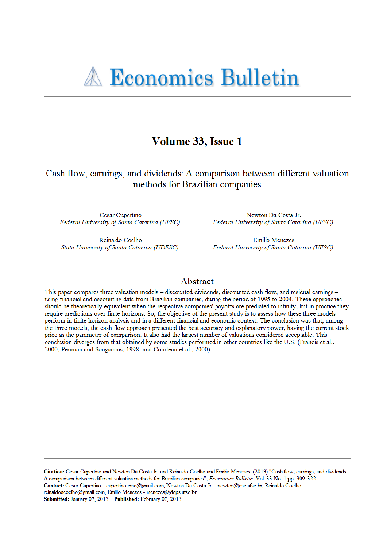# **A Economics Bulletin**

# Volume 33, Issue 1

Cash flow, earnings, and dividends: A comparison between different valuation methods for Brazilian companies

Cesar Cupertino Federal University of Santa Catarina (UFSC)

Reinaldo Coelho State University of Santa Catarina (UDESC)

Newton Da Costa Jr. Federal University of Santa Catarina (UFSC)

**Emilio Menezes** Federal University of Santa Catarina (UFSC)

# Abstract

This paper compares three valuation models – discounted dividends, discounted cash flow, and residual earnings – using financial and accounting data from Brazilian companies, during the period of 1995 to 2004. These approaches should be theoretically equivalent when the respective companies' payoffs are predicted to infinity, but in practice they require predictions over finite horizons. So, the objective of the present study is to assess how these three models perform in finite horizon analysis and in a different financial and economic context. The conclusion was that, among the three models, the cash flow approach presented the best accuracy and explanatory power, having the current stock price as the parameter of comparison. It also had the largest number of valuations considered acceptable. This conclusion diverges from that obtained by some studies performed in other countries like the U.S. (Francis et al., 2000, Penman and Sougiannis, 1998, and Courteau et al., 2000).

Citation: Cesar Cupertino and Newton Da Costa Jr. and Reinaldo Coelho and Emilio Menezes, (2013) "Cash flow, earnings, and dividends: A comparison between different valuation methods for Brazilian companies", Economics Bulletin, Vol. 33 No. 1 pp. 309-322. Contact: Cesar Cupertino - cupertino.cmc@gmail.com, Newton Da Costa Jr. - newton@cse.ufsc.br, Reinaldo Coelho reinaldoacoelho@gmail.com, Emilio Menezes - menezes@deps.ufsc.br. Submitted: January 07, 2013. Published: February 07, 2013.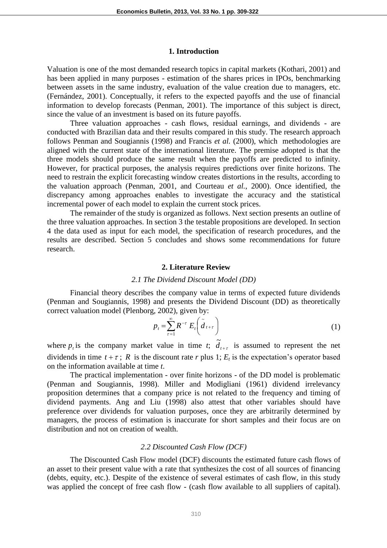#### **1. Introduction**

Valuation is one of the most demanded research topics in capital markets (Kothari, 2001) and has been applied in many purposes - estimation of the shares prices in IPOs, benchmarking between assets in the same industry, evaluation of the value creation due to managers, etc. (Fernández, 2001). Conceptually, it refers to the expected payoffs and the use of financial information to develop forecasts (Penman, 2001). The importance of this subject is direct, since the value of an investment is based on its future payoffs.

Three valuation approaches - cash flows, residual earnings, and dividends - are conducted with Brazilian data and their results compared in this study. The research approach follows Penman and Sougiannis (1998) and Francis *et al.* (2000), which methodologies are aligned with the current state of the international literature. The premise adopted is that the three models should produce the same result when the payoffs are predicted to infinity. However, for practical purposes, the analysis requires predictions over finite horizons. The need to restrain the explicit forecasting window creates distortions in the results, according to the valuation approach (Penman, 2001, and Courteau *et al.*, 2000). Once identified, the discrepancy among approaches enables to investigate the accuracy and the statistical incremental power of each model to explain the current stock prices.

The remainder of the study is organized as follows. Next section presents an outline of the three valuation approaches. In section 3 the testable propositions are developed. In section 4 the data used as input for each model, the specification of research procedures, and the results are described. Section 5 concludes and shows some recommendations for future research.

#### **2. Literature Review**

#### *2.1 The Dividend Discount Model (DD)*

Financial theory describes the company value in terms of expected future dividends (Penman and Sougiannis, 1998) and presents the Dividend Discount (DD) as theoretically correct valuation model (Plenborg, 2002), given by:

$$
p_t = \sum_{\tau=1}^{\infty} R^{-\tau} E_t \left( \tilde{d}_{t+\tau} \right) \tag{1}
$$

where  $p_t$  is the company market value in time *t*;  $\tilde{d}_{t+\tau}$  is assumed to represent the net dividends in time  $t + \tau$ ; R is the discount rate r plus 1;  $E_t$  is the expectation's operator based on the information available at time *t*.

The practical implementation - over finite horizons - of the DD model is problematic (Penman and Sougiannis, 1998). Miller and Modigliani (1961) dividend irrelevancy proposition determines that a company price is not related to the frequency and timing of dividend payments. Ang and Liu (1998) also attest that other variables should have preference over dividends for valuation purposes, once they are arbitrarily determined by managers, the process of estimation is inaccurate for short samples and their focus are on distribution and not on creation of wealth.

### *2.2 Discounted Cash Flow (DCF)*

The Discounted Cash Flow model (DCF) discounts the estimated future cash flows of an asset to their present value with a rate that synthesizes the cost of all sources of financing (debts, equity, etc.). Despite of the existence of several estimates of cash flow, in this study was applied the concept of free cash flow - (cash flow available to all suppliers of capital).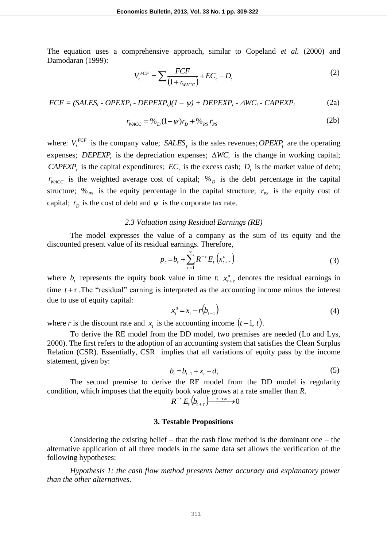The equation uses a comprehensive approach, similar to Copeland *et al.* (2000) and Damodaran (1999):

$$
V_t^{FCF} = \sum \frac{FCF}{(1 + r_{WACC})} + EC_t - D_t \tag{2}
$$

 $FCF = (SALES_t - OPERP_t - DEPEXP_t)(1 - \psi) + DEPEXP_t - \Delta WC_t - CAPEXP_t$ (2a)

$$
r_{WACC} = \frac{96}{D} (1 - \psi) r_D + \frac{96}{2} r_{PS}
$$
 (2b)

where:  $V_t^{FCF}$  is the company value;  $SALES_t$  is the sales revenues;  $OPEXP_t$  are the operating expenses; *DEPEXP<sub>t</sub>* is the depreciation expenses;  $\Delta WC_t$  is the change in working capital; *CAPEXP<sub>t</sub>* is the capital expenditures;  $EC<sub>t</sub>$  is the excess cash;  $D<sub>t</sub>$  is the market value of debt;  $r_{\text{WACC}}$  is the weighted average cost of capital;  $\%$ <sub>D</sub> is the debt percentage in the capital structure;  $\%_{PS}$  is the equity percentage in the capital structure;  $r_{PS}$  is the equity cost of capital;  $r<sub>D</sub>$  is the cost of debt and  $\psi$  is the corporate tax rate.

#### *2.3 Valuation using Residual Earnings (RE)*

The model expresses the value of a company as the sum of its equity and the discounted present value of its residual earnings. Therefore,

$$
p_{t} = b_{t} + \sum_{\tau=1}^{\infty} R^{-\tau} E_{t} \left( x_{t+\tau}^{a} \right)
$$
 (3)

where  $b_t$  represents the equity book value in time *t*;  $x_t^a$  $x_{t+\tau}^a$  denotes the residual earnings in time  $t + \tau$ . The "residual" earning is interpreted as the accounting income minus the interest due to use of equity capital:

$$
x_t^a = x_t - r(b_{t-1})
$$
\n<sup>(4)</sup>

where *r* is the discount rate and  $x_t$  is the accounting income  $(t-1, t)$ .

To derive the RE model from the DD model, two premises are needed (Lo and Lys, 2000). The first refers to the adoption of an accounting system that satisfies the Clean Surplus Relation (CSR). Essentially, CSR implies that all variations of equity pass by the income statement, given by:

$$
b_t = b_{t-1} + x_t - d_t \tag{5}
$$

The second premise to derive the RE model from the DD model is regularity condition, which imposes that the equity book value grows at a rate smaller than *R*.

$$
R^{-\tau} E_t(b_{t+\tau}) \xrightarrow{\tau \to \infty} 0
$$

#### **3. Testable Propositions**

Considering the existing belief – that the cash flow method is the dominant one – the alternative application of all three models in the same data set allows the verification of the following hypotheses:

*Hypothesis 1: the cash flow method presents better accuracy and explanatory power than the other alternatives.*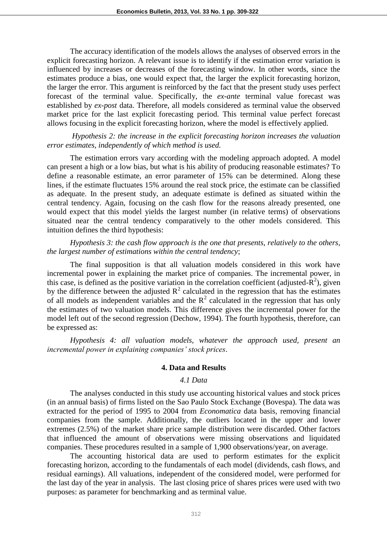The accuracy identification of the models allows the analyses of observed errors in the explicit forecasting horizon. A relevant issue is to identify if the estimation error variation is influenced by increases or decreases of the forecasting window. In other words, since the estimates produce a bias, one would expect that, the larger the explicit forecasting horizon, the larger the error. This argument is reinforced by the fact that the present study uses perfect forecast of the terminal value. Specifically, the *ex-ante* terminal value forecast was established by *ex-post* data. Therefore, all models considered as terminal value the observed market price for the last explicit forecasting period. This terminal value perfect forecast allows focusing in the explicit forecasting horizon, where the model is effectively applied.

*Hypothesis 2: the increase in the explicit forecasting horizon increases the valuation error estimates, independently of which method is used.*

The estimation errors vary according with the modeling approach adopted. A model can present a high or a low bias, but what is his ability of producing reasonable estimates? To define a reasonable estimate, an error parameter of 15% can be determined. Along these lines, if the estimate fluctuates 15% around the real stock price, the estimate can be classified as adequate. In the present study, an adequate estimate is defined as situated within the central tendency. Again, focusing on the cash flow for the reasons already presented, one would expect that this model yields the largest number (in relative terms) of observations situated near the central tendency comparatively to the other models considered. This intuition defines the third hypothesis:

*Hypothesis 3: the cash flow approach is the one that presents, relatively to the others, the largest number of estimations within the central tendency*;

The final supposition is that all valuation models considered in this work have incremental power in explaining the market price of companies. The incremental power, in this case, is defined as the positive variation in the correlation coefficient (adjusted- $\mathbb{R}^2$ ), given by the difference between the adjusted  $R^2$  calculated in the regression that has the estimates of all models as independent variables and the  $R^2$  calculated in the regression that has only the estimates of two valuation models. This difference gives the incremental power for the model left out of the second regression (Dechow, 1994). The fourth hypothesis, therefore, can be expressed as:

*Hypothesis 4: all valuation models, whatever the approach used, present an incremental power in explaining companies' stock prices*.

#### **4. Data and Results**

#### *4.1 Data*

The analyses conducted in this study use accounting historical values and stock prices (in an annual basis) of firms listed on the Sao Paulo Stock Exchange (Bovespa). The data was extracted for the period of 1995 to 2004 from *Economatica* data basis, removing financial companies from the sample. Additionally, the outliers located in the upper and lower extremes (2.5%) of the market share price sample distribution were discarded. Other factors that influenced the amount of observations were missing observations and liquidated companies. These procedures resulted in a sample of 1,900 observations/year, on average.

The accounting historical data are used to perform estimates for the explicit forecasting horizon, according to the fundamentals of each model (dividends, cash flows, and residual earnings). All valuations, independent of the considered model, were performed for the last day of the year in analysis. The last closing price of shares prices were used with two purposes: as parameter for benchmarking and as terminal value.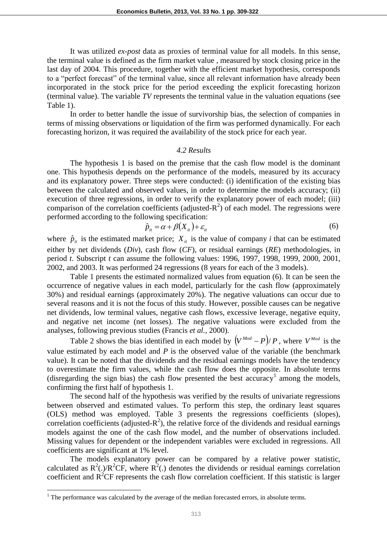It was utilized *ex-post* data as proxies of terminal value for all models. In this sense, the terminal value is defined as the firm market value , measured by stock closing price in the last day of 2004. This procedure, together with the efficient market hypothesis, corresponds to a "perfect forecast" of the terminal value, since all relevant information have already been incorporated in the stock price for the period exceeding the explicit forecasting horizon (terminal value). The variable *TV* represents the terminal value in the valuation equations (see Table 1).

In order to better handle the issue of survivorship bias, the selection of companies in terms of missing observations or liquidation of the firm was performed dynamically. For each forecasting horizon, it was required the availability of the stock price for each year.

#### *4.2 Results*

The hypothesis 1 is based on the premise that the cash flow model is the dominant one. This hypothesis depends on the performance of the models, measured by its accuracy and its explanatory power. Three steps were conducted: (i) identification of the existing bias between the calculated and observed values, in order to determine the models accuracy; (ii) execution of three regressions, in order to verify the explanatory power of each model; (iii) comparison of the correlation coefficients (adjusted- $R^2$ ) of each model. The regressions were performed according to the following specification:

$$
\hat{p}_{it} = \alpha + \beta (X_{it}) + \varepsilon_{it} \tag{6}
$$

where  $\hat{p}_{it}$  is the estimated market price;  $X_{it}$  is the value of company *i* that can be estimated either by net dividends (*Div*), cash flow (*CF*), or residual earnings (*RE*) methodologies, in period *t*. Subscript *t* can assume the following values: 1996, 1997, 1998, 1999, 2000, 2001, 2002, and 2003. It was performed 24 regressions (8 years for each of the 3 models).

Table 1 presents the estimated normalized values from equation (6). It can be seen the occurrence of negative values in each model, particularly for the cash flow (approximately 30%) and residual earnings (approximately 20%). The negative valuations can occur due to several reasons and it is not the focus of this study. However, possible causes can be negative net dividends, low terminal values, negative cash flows, excessive leverage, negative equity, and negative net income (net losses). The negative valuations were excluded from the analyses, following previous studies (Francis *et al.*, 2000).

Table 2 shows the bias identified in each model by  $\left(V^{Mod} - P\right)/P$ , where  $V^{Mod}$  is the value estimated by each model and *P* is the observed value of the variable (the benchmark value). It can be noted that the dividends and the residual earnings models have the tendency to overestimate the firm values, while the cash flow does the opposite. In absolute terms (disregarding the sign bias) the cash flow presented the best accuracy<sup>1</sup> among the models, confirming the first half of hypothesis 1.

The second half of the hypothesis was verified by the results of univariate regressions between observed and estimated values. To perform this step, the ordinary least squares (OLS) method was employed. Table 3 presents the regressions coefficients (slopes), correlation coefficients (adjusted- $R^2$ ), the relative force of the dividends and residual earnings models against the one of the cash flow model, and the number of observations included. Missing values for dependent or the independent variables were excluded in regressions. All coefficients are significant at 1% level.

The models explanatory power can be compared by a relative power statistic, calculated as  $R^2(.)/R^2CF$ , where  $R^2(.)$  denotes the dividends or residual earnings correlation coefficient and  $R^2CF$  represents the cash flow correlation coefficient. If this statistic is larger

l

 $1$ . The performance was calculated by the average of the median forecasted errors, in absolute terms.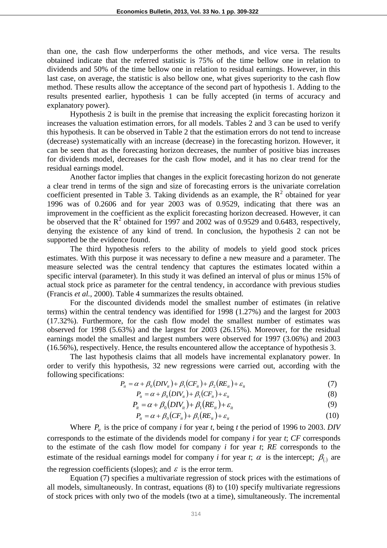than one, the cash flow underperforms the other methods, and vice versa. The results obtained indicate that the referred statistic is 75% of the time bellow one in relation to dividends and 50% of the time bellow one in relation to residual earnings. However, in this last case, on average, the statistic is also bellow one, what gives superiority to the cash flow method. These results allow the acceptance of the second part of hypothesis 1. Adding to the results presented earlier, hypothesis 1 can be fully accepted (in terms of accuracy and explanatory power).

Hypothesis 2 is built in the premise that increasing the explicit forecasting horizon it increases the valuation estimation errors, for all models. Tables 2 and 3 can be used to verify this hypothesis. It can be observed in Table 2 that the estimation errors do not tend to increase (decrease) systematically with an increase (decrease) in the forecasting horizon. However, it can be seen that as the forecasting horizon decreases, the number of positive bias increases for dividends model, decreases for the cash flow model, and it has no clear trend for the residual earnings model.

Another factor implies that changes in the explicit forecasting horizon do not generate a clear trend in terms of the sign and size of forecasting errors is the univariate correlation coefficient presented in Table 3. Taking dividends as an example, the  $R^2$  obtained for year 1996 was of 0.2606 and for year 2003 was of 0.9529, indicating that there was an improvement in the coefficient as the explicit forecasting horizon decreased. However, it can be observed that the  $R^2$  obtained for 1997 and 2002 was of 0.9529 and 0.6483, respectively, denying the existence of any kind of trend. In conclusion, the hypothesis 2 can not be supported be the evidence found.

The third hypothesis refers to the ability of models to yield good stock prices estimates. With this purpose it was necessary to define a new measure and a parameter. The measure selected was the central tendency that captures the estimates located within a specific interval (parameter). In this study it was defined an interval of plus or minus 15% of actual stock price as parameter for the central tendency, in accordance with previous studies (Francis *et al.*, 2000). Table 4 summarizes the results obtained.

For the discounted dividends model the smallest number of estimates (in relative terms) within the central tendency was identified for 1998 (1.27%) and the largest for 2003 (17.32%). Furthermore, for the cash flow model the smallest number of estimates was observed for 1998 (5.63%) and the largest for 2003 (26.15%). Moreover, for the residual earnings model the smallest and largest numbers were observed for 1997 (3.06%) and 2003 (16.56%), respectively. Hence, the results encountered allow the acceptance of hypothesis 3.

The last hypothesis claims that all models have incremental explanatory power. In order to verify this hypothesis, 32 new regressions were carried out, according with the following specifications:

$$
P_{it} = \alpha + \beta_0 (DIV_{it}) + \beta_1 (CF_{it}) + \beta_2 (RE_{it}) + \varepsilon_{it}
$$
\n<sup>(7)</sup>

$$
P_{ii} = \alpha + \beta_0 (DIV_{ii}) + \beta_1 (CF_{ii}) + \varepsilon_{ii}
$$
\n
$$
(8)
$$

$$
P_{it} = \alpha + \beta_0 (DIV_{it}) + \beta_1 (RE_{it}) + \varepsilon_{it}
$$
\n(9)

$$
P_{ii} = \alpha + \beta_0 (CF_{ii}) + \beta_1 (RE_{ii}) + \varepsilon_{ii}
$$
\n(10)

Where  $P_i$  is the price of company *i* for year *t*, being *t* the period of 1996 to 2003. *DIV* corresponds to the estimate of the dividends model for company *i* for year *t*; *CF* corresponds to the estimate of the cash flow model for company *i* for year *t*; *RE* corresponds to the estimate of the residual earnings model for company *i* for year *t*;  $\alpha$  is the intercept;  $\beta_{(.)}$  are the regression coefficients (slopes); and  $\varepsilon$  is the error term.

Equation (7) specifies a multivariate regression of stock prices with the estimations of all models, simultaneously. In contrast, equations (8) to (10) specify multivariate regressions of stock prices with only two of the models (two at a time), simultaneously. The incremental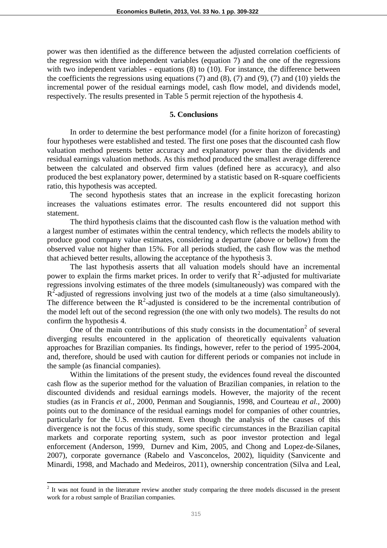power was then identified as the difference between the adjusted correlation coefficients of the regression with three independent variables (equation 7) and the one of the regressions with two independent variables - equations (8) to (10). For instance, the difference between the coefficients the regressions using equations  $(7)$  and  $(8)$ ,  $(7)$  and  $(9)$ ,  $(7)$  and  $(10)$  yields the incremental power of the residual earnings model, cash flow model, and dividends model, respectively. The results presented in Table 5 permit rejection of the hypothesis 4.

#### **5. Conclusions**

In order to determine the best performance model (for a finite horizon of forecasting) four hypotheses were established and tested. The first one poses that the discounted cash flow valuation method presents better accuracy and explanatory power than the dividends and residual earnings valuation methods. As this method produced the smallest average difference between the calculated and observed firm values (defined here as accuracy), and also produced the best explanatory power, determined by a statistic based on R-square coefficients ratio, this hypothesis was accepted.

The second hypothesis states that an increase in the explicit forecasting horizon increases the valuations estimates error. The results encountered did not support this statement.

The third hypothesis claims that the discounted cash flow is the valuation method with a largest number of estimates within the central tendency, which reflects the models ability to produce good company value estimates, considering a departure (above or bellow) from the observed value not higher than 15%. For all periods studied, the cash flow was the method that achieved better results, allowing the acceptance of the hypothesis 3.

The last hypothesis asserts that all valuation models should have an incremental power to explain the firms market prices. In order to verify that  $R^2$ -adjusted for multivariate regressions involving estimates of the three models (simultaneously) was compared with the  $R<sup>2</sup>$ -adjusted of regressions involving just two of the models at a time (also simultaneously). The difference between the  $R^2$ -adjusted is considered to be the incremental contribution of the model left out of the second regression (the one with only two models). The results do not confirm the hypothesis 4.

One of the main contributions of this study consists in the documentation<sup>2</sup> of several diverging results encountered in the application of theoretically equivalents valuation approaches for Brazilian companies. Its findings, however, refer to the period of 1995-2004, and, therefore, should be used with caution for different periods or companies not include in the sample (as financial companies).

Within the limitations of the present study, the evidences found reveal the discounted cash flow as the superior method for the valuation of Brazilian companies, in relation to the discounted dividends and residual earnings models. However, the majority of the recent studies (as in Francis *et al.,* 2000, Penman and Sougiannis, 1998, and Courteau *et al.,* 2000) points out to the dominance of the residual earnings model for companies of other countries, particularly for the U.S. environment. Even though the analysis of the causes of this divergence is not the focus of this study, some specific circumstances in the Brazilian capital markets and corporate reporting system, such as poor investor protection and legal enforcement (Anderson, 1999, Durnev and Kim, 2005, and Chong and Lopez-de-Silanes, 2007), corporate governance (Rabelo and Vasconcelos, 2002), liquidity (Sanvicente and Minardi, 1998, and Machado and Medeiros, 2011), ownership concentration (Silva and Leal,

l

 $2$  It was not found in the literature review another study comparing the three models discussed in the present work for a robust sample of Brazilian companies.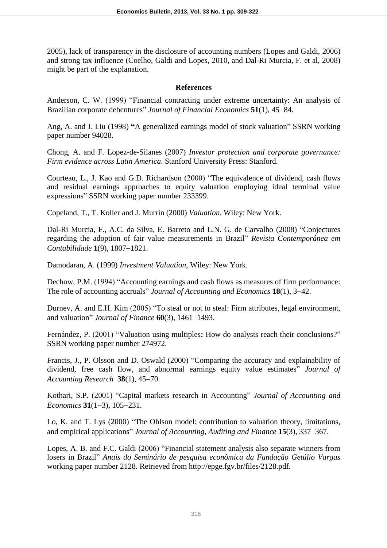2005), lack of transparency in the disclosure of accounting numbers (Lopes and Galdi, 2006) and strong tax influence (Coelho, Galdi and Lopes, 2010, and Dal-Ri Murcia, F. et al, 2008) might be part of the explanation.

## **References**

Anderson, C. W. (1999) "Financial contracting under extreme uncertainty: An analysis of Brazilian corporate debentures" *Journal of Financial Economics* **51**(1), 45–84.

Ang, A. and J. Liu (1998) **"**A generalized earnings model of stock valuation" SSRN working paper number 94028.

Chong, A. and F. Lopez-de-Silanes (2007) *Investor protection and corporate governance: Firm evidence across Latin America*. Stanford University Press: Stanford.

Courteau, L., J. Kao and G.D. Richardson (2000) "The equivalence of dividend, cash flows and residual earnings approaches to equity valuation employing ideal terminal value expressions" SSRN working paper number 233399.

Copeland, T., T. Koller and J. Murrin (2000) *Valuation*, Wiley: New York.

Dal-Ri Murcia, F., A.C. da Silva, E. Barreto and L.N. G. de Carvalho (2008) "Conjectures regarding the adoption of fair value measurements in Brazil" *Revista Contemporânea em Contabilidade* **1**(9), 1807-1821.

Damodaran, A. (1999) *Investment Valuation*, Wiley: New York.

Dechow, P.M. (1994) "Accounting earnings and cash flows as measures of firm performance: The role of accounting accruals" *Journal of Accounting and Economics* 18(1), 3–42.

Durnev, A. and E.H. Kim (2005) "To steal or not to steal: Firm attributes, legal environment, and valuation" *Journal of Finance*  $60(3)$ , 1461–1493.

Fernández, P. (2001) "Valuation using multiples**:** How do analysts reach their conclusions?" SSRN working paper number 274972.

Francis, J., P. Olsson and D. Oswald (2000) "Comparing the accuracy and explainability of dividend, free cash flow, and abnormal earnings equity value estimates" *Journal of Accounting Research* **38**(1), 45-70.

Kothari, S.P. (2001) "Capital markets research in Accounting" *Journal of Accounting and Economics* **31**(1–3), 105–231.

Lo, K. and T. Lys (2000) "The Ohlson model: contribution to valuation theory, limitations, and empirical applications" *Journal of Accounting, Auditing and Finance* 15(3), 337–367.

Lopes, A. B. and F.C. Galdi (2006) "Financial statement analysis also separate winners from losers in Brazil" *Anais do Seminário de pesquisa econômica da Fundação Getúlio Vargas* working paper number 2128. Retrieved from http://epge.fgv.br/files/2128.pdf.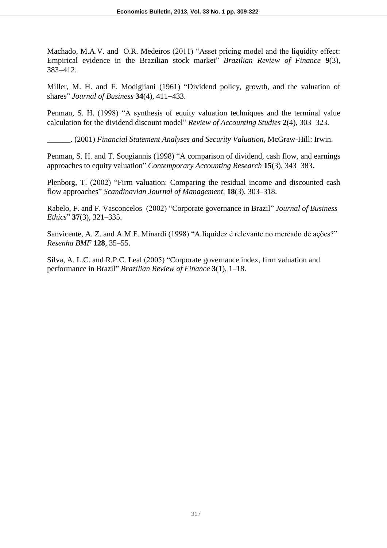Machado, M.A.V. and O.R. Medeiros (2011) "Asset pricing model and the liquidity effect: Empirical evidence in the Brazilian stock market" *Brazilian Review of Finance* **9**(3), 383412.

Miller, M. H. and F. Modigliani (1961) "Dividend policy, growth, and the valuation of shares" *Journal of Business* **34**(4), 411-433.

Penman, S. H. (1998) "A synthesis of equity valuation techniques and the terminal value calculation for the dividend discount model" *Review of Accounting Studies* 2(4), 303-323.

\_\_\_\_\_\_. (2001) *Financial Statement Analyses and Security Valuation*, McGraw-Hill: Irwin.

Penman, S. H. and T. Sougiannis (1998) "A comparison of dividend, cash flow, and earnings approaches to equity valuation" *Contemporary Accounting Research* 15(3), 343–383.

Plenborg, T. (2002) "Firm valuation: Comparing the residual income and discounted cash flow approaches" *Scandinavian Journal of Management*, **18**(3), 303–318.

Rabelo, F. and F. Vasconcelos (2002) "Corporate governance in Brazil" *Journal of Business Ethics*" **37**(3), 321–335.

Sanvicente, A. Z. and A.M.F. Minardi (1998) "A liquidez é relevante no mercado de ações?" *Resenha BMF* **128**, 35–55.

Silva, A. L.C. and R.P.C. Leal (2005) "Corporate governance index, firm valuation and performance in Brazil" *Brazilian Review of Finance* **3**(1), 1–18.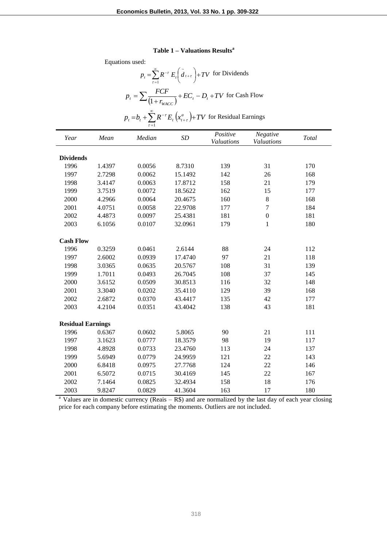#### **Table 1 – Valuations Results<sup>a</sup>**

| $p_t = \sum_{\tau=1}^{\infty} R^{-\tau} E_t \left( \tilde{d}_{t+\tau} \right) + TV$ for Dividends<br>$p_t = \sum \frac{FCF}{(1 + r_{\text{wacc}})} + EC_t - D_t + TV$ for Cash Flow<br>$p_t = b_t + \sum_{i=1}^{\infty} R^{-\tau} E_t (x_{t+\tau}^a) + TV$ for Residual Earnings<br>Positive<br>Negative<br>Median<br>SD<br>Year<br>Mean<br><b>Total</b><br><b>Valuations</b><br><b>Valuations</b><br><b>Dividends</b><br>1996<br>0.0056<br>139<br>31<br>1.4397<br>8.7310<br>170<br>1997<br>0.0062<br>26<br>2.7298<br>15.1492<br>142<br>168<br>0.0063<br>158<br>21<br>1998<br>3.4147<br>17.8712<br>179<br>1999<br>0.0072<br>162<br>15<br>3.7519<br>18.5622<br>177<br>0.0064<br>8<br>2000<br>4.2966<br>20.4675<br>160<br>168<br>$\overline{7}$<br>2001<br>0.0058<br>22.9708<br>177<br>184<br>4.0751<br>$\overline{0}$<br>2002<br>4.4873<br>0.0097<br>25.4381<br>181<br>181<br>0.0107<br>179<br>2003<br>6.1056<br>32.0961<br>1<br>180<br><b>Cash Flow</b><br>1996<br>0.3259<br>0.0461<br>2.6144<br>88<br>24<br>112<br>1997<br>0.0939<br>97<br>21<br>2.6002<br>17.4740<br>118<br>108<br>31<br>1998<br>3.0365<br>0.0635<br>20.5767<br>139<br>1999<br>1.7011<br>0.0493<br>108<br>37<br>26.7045<br>145<br>0.0509<br>32<br>2000<br>3.6152<br>30.8513<br>116<br>148<br>39<br>2001<br>3.3040<br>0.0202<br>129<br>35.4110<br>168<br>42<br>2002<br>2.6872<br>0.0370<br>43.4417<br>135<br>177<br>43<br>2003<br>4.2104<br>0.0351<br>43.4042<br>138<br>181<br><b>Residual Earnings</b><br>0.0602<br>90<br>21<br>1996<br>0.6367<br>5.8065<br>111<br>1997<br>0.0777<br>18.3579<br>98<br>19<br>3.1623<br>117<br>24<br>1998<br>4.8928<br>0.0733<br>23.4760<br>113<br>137<br>22<br>1999<br>5.6949<br>0.0779<br>121<br>24.9959<br>143<br>2000<br>124<br>22<br>6.8418<br>0.0975<br>27.7768<br>146<br>2001<br>0.0715<br>22<br>6.5072<br>30.4169<br>145<br>167<br>18<br>2002<br>7.1464<br>0.0825<br>32.4934<br>158<br>176<br>2003<br>0.0829<br>41.3604<br>163<br>17<br>180<br>9.8247 | Equations used: |  |  |  |  |  |  |  |  |  |
|---------------------------------------------------------------------------------------------------------------------------------------------------------------------------------------------------------------------------------------------------------------------------------------------------------------------------------------------------------------------------------------------------------------------------------------------------------------------------------------------------------------------------------------------------------------------------------------------------------------------------------------------------------------------------------------------------------------------------------------------------------------------------------------------------------------------------------------------------------------------------------------------------------------------------------------------------------------------------------------------------------------------------------------------------------------------------------------------------------------------------------------------------------------------------------------------------------------------------------------------------------------------------------------------------------------------------------------------------------------------------------------------------------------------------------------------------------------------------------------------------------------------------------------------------------------------------------------------------------------------------------------------------------------------------------------------------------------------------------------------------------------------------------------------------------------------------------------------------------------------------------------------------------------------------------------------------------------|-----------------|--|--|--|--|--|--|--|--|--|
|                                                                                                                                                                                                                                                                                                                                                                                                                                                                                                                                                                                                                                                                                                                                                                                                                                                                                                                                                                                                                                                                                                                                                                                                                                                                                                                                                                                                                                                                                                                                                                                                                                                                                                                                                                                                                                                                                                                                                               |                 |  |  |  |  |  |  |  |  |  |
|                                                                                                                                                                                                                                                                                                                                                                                                                                                                                                                                                                                                                                                                                                                                                                                                                                                                                                                                                                                                                                                                                                                                                                                                                                                                                                                                                                                                                                                                                                                                                                                                                                                                                                                                                                                                                                                                                                                                                               |                 |  |  |  |  |  |  |  |  |  |
|                                                                                                                                                                                                                                                                                                                                                                                                                                                                                                                                                                                                                                                                                                                                                                                                                                                                                                                                                                                                                                                                                                                                                                                                                                                                                                                                                                                                                                                                                                                                                                                                                                                                                                                                                                                                                                                                                                                                                               |                 |  |  |  |  |  |  |  |  |  |
|                                                                                                                                                                                                                                                                                                                                                                                                                                                                                                                                                                                                                                                                                                                                                                                                                                                                                                                                                                                                                                                                                                                                                                                                                                                                                                                                                                                                                                                                                                                                                                                                                                                                                                                                                                                                                                                                                                                                                               |                 |  |  |  |  |  |  |  |  |  |
|                                                                                                                                                                                                                                                                                                                                                                                                                                                                                                                                                                                                                                                                                                                                                                                                                                                                                                                                                                                                                                                                                                                                                                                                                                                                                                                                                                                                                                                                                                                                                                                                                                                                                                                                                                                                                                                                                                                                                               |                 |  |  |  |  |  |  |  |  |  |
|                                                                                                                                                                                                                                                                                                                                                                                                                                                                                                                                                                                                                                                                                                                                                                                                                                                                                                                                                                                                                                                                                                                                                                                                                                                                                                                                                                                                                                                                                                                                                                                                                                                                                                                                                                                                                                                                                                                                                               |                 |  |  |  |  |  |  |  |  |  |
|                                                                                                                                                                                                                                                                                                                                                                                                                                                                                                                                                                                                                                                                                                                                                                                                                                                                                                                                                                                                                                                                                                                                                                                                                                                                                                                                                                                                                                                                                                                                                                                                                                                                                                                                                                                                                                                                                                                                                               |                 |  |  |  |  |  |  |  |  |  |
|                                                                                                                                                                                                                                                                                                                                                                                                                                                                                                                                                                                                                                                                                                                                                                                                                                                                                                                                                                                                                                                                                                                                                                                                                                                                                                                                                                                                                                                                                                                                                                                                                                                                                                                                                                                                                                                                                                                                                               |                 |  |  |  |  |  |  |  |  |  |
|                                                                                                                                                                                                                                                                                                                                                                                                                                                                                                                                                                                                                                                                                                                                                                                                                                                                                                                                                                                                                                                                                                                                                                                                                                                                                                                                                                                                                                                                                                                                                                                                                                                                                                                                                                                                                                                                                                                                                               |                 |  |  |  |  |  |  |  |  |  |
|                                                                                                                                                                                                                                                                                                                                                                                                                                                                                                                                                                                                                                                                                                                                                                                                                                                                                                                                                                                                                                                                                                                                                                                                                                                                                                                                                                                                                                                                                                                                                                                                                                                                                                                                                                                                                                                                                                                                                               |                 |  |  |  |  |  |  |  |  |  |
|                                                                                                                                                                                                                                                                                                                                                                                                                                                                                                                                                                                                                                                                                                                                                                                                                                                                                                                                                                                                                                                                                                                                                                                                                                                                                                                                                                                                                                                                                                                                                                                                                                                                                                                                                                                                                                                                                                                                                               |                 |  |  |  |  |  |  |  |  |  |
|                                                                                                                                                                                                                                                                                                                                                                                                                                                                                                                                                                                                                                                                                                                                                                                                                                                                                                                                                                                                                                                                                                                                                                                                                                                                                                                                                                                                                                                                                                                                                                                                                                                                                                                                                                                                                                                                                                                                                               |                 |  |  |  |  |  |  |  |  |  |
|                                                                                                                                                                                                                                                                                                                                                                                                                                                                                                                                                                                                                                                                                                                                                                                                                                                                                                                                                                                                                                                                                                                                                                                                                                                                                                                                                                                                                                                                                                                                                                                                                                                                                                                                                                                                                                                                                                                                                               |                 |  |  |  |  |  |  |  |  |  |
|                                                                                                                                                                                                                                                                                                                                                                                                                                                                                                                                                                                                                                                                                                                                                                                                                                                                                                                                                                                                                                                                                                                                                                                                                                                                                                                                                                                                                                                                                                                                                                                                                                                                                                                                                                                                                                                                                                                                                               |                 |  |  |  |  |  |  |  |  |  |
|                                                                                                                                                                                                                                                                                                                                                                                                                                                                                                                                                                                                                                                                                                                                                                                                                                                                                                                                                                                                                                                                                                                                                                                                                                                                                                                                                                                                                                                                                                                                                                                                                                                                                                                                                                                                                                                                                                                                                               |                 |  |  |  |  |  |  |  |  |  |
|                                                                                                                                                                                                                                                                                                                                                                                                                                                                                                                                                                                                                                                                                                                                                                                                                                                                                                                                                                                                                                                                                                                                                                                                                                                                                                                                                                                                                                                                                                                                                                                                                                                                                                                                                                                                                                                                                                                                                               |                 |  |  |  |  |  |  |  |  |  |
|                                                                                                                                                                                                                                                                                                                                                                                                                                                                                                                                                                                                                                                                                                                                                                                                                                                                                                                                                                                                                                                                                                                                                                                                                                                                                                                                                                                                                                                                                                                                                                                                                                                                                                                                                                                                                                                                                                                                                               |                 |  |  |  |  |  |  |  |  |  |
|                                                                                                                                                                                                                                                                                                                                                                                                                                                                                                                                                                                                                                                                                                                                                                                                                                                                                                                                                                                                                                                                                                                                                                                                                                                                                                                                                                                                                                                                                                                                                                                                                                                                                                                                                                                                                                                                                                                                                               |                 |  |  |  |  |  |  |  |  |  |
|                                                                                                                                                                                                                                                                                                                                                                                                                                                                                                                                                                                                                                                                                                                                                                                                                                                                                                                                                                                                                                                                                                                                                                                                                                                                                                                                                                                                                                                                                                                                                                                                                                                                                                                                                                                                                                                                                                                                                               |                 |  |  |  |  |  |  |  |  |  |
|                                                                                                                                                                                                                                                                                                                                                                                                                                                                                                                                                                                                                                                                                                                                                                                                                                                                                                                                                                                                                                                                                                                                                                                                                                                                                                                                                                                                                                                                                                                                                                                                                                                                                                                                                                                                                                                                                                                                                               |                 |  |  |  |  |  |  |  |  |  |
|                                                                                                                                                                                                                                                                                                                                                                                                                                                                                                                                                                                                                                                                                                                                                                                                                                                                                                                                                                                                                                                                                                                                                                                                                                                                                                                                                                                                                                                                                                                                                                                                                                                                                                                                                                                                                                                                                                                                                               |                 |  |  |  |  |  |  |  |  |  |
|                                                                                                                                                                                                                                                                                                                                                                                                                                                                                                                                                                                                                                                                                                                                                                                                                                                                                                                                                                                                                                                                                                                                                                                                                                                                                                                                                                                                                                                                                                                                                                                                                                                                                                                                                                                                                                                                                                                                                               |                 |  |  |  |  |  |  |  |  |  |
|                                                                                                                                                                                                                                                                                                                                                                                                                                                                                                                                                                                                                                                                                                                                                                                                                                                                                                                                                                                                                                                                                                                                                                                                                                                                                                                                                                                                                                                                                                                                                                                                                                                                                                                                                                                                                                                                                                                                                               |                 |  |  |  |  |  |  |  |  |  |
|                                                                                                                                                                                                                                                                                                                                                                                                                                                                                                                                                                                                                                                                                                                                                                                                                                                                                                                                                                                                                                                                                                                                                                                                                                                                                                                                                                                                                                                                                                                                                                                                                                                                                                                                                                                                                                                                                                                                                               |                 |  |  |  |  |  |  |  |  |  |
|                                                                                                                                                                                                                                                                                                                                                                                                                                                                                                                                                                                                                                                                                                                                                                                                                                                                                                                                                                                                                                                                                                                                                                                                                                                                                                                                                                                                                                                                                                                                                                                                                                                                                                                                                                                                                                                                                                                                                               |                 |  |  |  |  |  |  |  |  |  |
|                                                                                                                                                                                                                                                                                                                                                                                                                                                                                                                                                                                                                                                                                                                                                                                                                                                                                                                                                                                                                                                                                                                                                                                                                                                                                                                                                                                                                                                                                                                                                                                                                                                                                                                                                                                                                                                                                                                                                               |                 |  |  |  |  |  |  |  |  |  |
|                                                                                                                                                                                                                                                                                                                                                                                                                                                                                                                                                                                                                                                                                                                                                                                                                                                                                                                                                                                                                                                                                                                                                                                                                                                                                                                                                                                                                                                                                                                                                                                                                                                                                                                                                                                                                                                                                                                                                               |                 |  |  |  |  |  |  |  |  |  |
|                                                                                                                                                                                                                                                                                                                                                                                                                                                                                                                                                                                                                                                                                                                                                                                                                                                                                                                                                                                                                                                                                                                                                                                                                                                                                                                                                                                                                                                                                                                                                                                                                                                                                                                                                                                                                                                                                                                                                               |                 |  |  |  |  |  |  |  |  |  |
|                                                                                                                                                                                                                                                                                                                                                                                                                                                                                                                                                                                                                                                                                                                                                                                                                                                                                                                                                                                                                                                                                                                                                                                                                                                                                                                                                                                                                                                                                                                                                                                                                                                                                                                                                                                                                                                                                                                                                               |                 |  |  |  |  |  |  |  |  |  |
|                                                                                                                                                                                                                                                                                                                                                                                                                                                                                                                                                                                                                                                                                                                                                                                                                                                                                                                                                                                                                                                                                                                                                                                                                                                                                                                                                                                                                                                                                                                                                                                                                                                                                                                                                                                                                                                                                                                                                               |                 |  |  |  |  |  |  |  |  |  |
|                                                                                                                                                                                                                                                                                                                                                                                                                                                                                                                                                                                                                                                                                                                                                                                                                                                                                                                                                                                                                                                                                                                                                                                                                                                                                                                                                                                                                                                                                                                                                                                                                                                                                                                                                                                                                                                                                                                                                               |                 |  |  |  |  |  |  |  |  |  |

<sup>a</sup> Values are in domestic currency (Reais – R\$) and are normalized by the last day of each year closing price for each company before estimating the moments. Outliers are not included.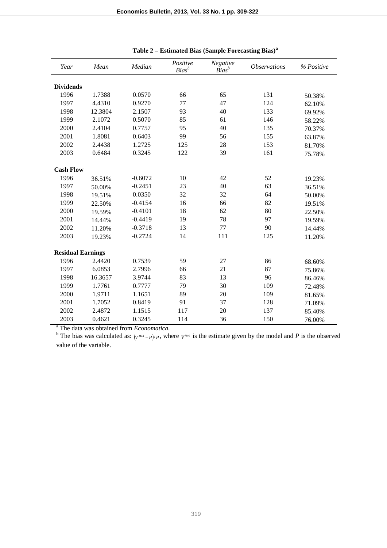| Year                     | Mean    | Median    | Positive<br>$Bias^b$ | Negative<br>$Bias^b$ | <b>Observations</b> | % Positive |  |  |
|--------------------------|---------|-----------|----------------------|----------------------|---------------------|------------|--|--|
| <b>Dividends</b>         |         |           |                      |                      |                     |            |  |  |
| 1996                     | 1.7388  | 0.0570    | 66                   | 65                   | 131                 | 50.38%     |  |  |
| 1997                     | 4.4310  | 0.9270    | 77                   | 47                   | 124                 | 62.10%     |  |  |
| 1998                     | 12.3804 | 2.1507    | 93                   | 40                   | 133                 | 69.92%     |  |  |
| 1999                     | 2.1072  | 0.5070    | 85                   | 61                   | 146                 | 58.22%     |  |  |
| 2000                     | 2.4104  | 0.7757    | 95                   | 40                   | 135                 | 70.37%     |  |  |
| 2001                     | 1.8081  | 0.6403    | 99                   | 56                   | 155                 | 63.87%     |  |  |
| 2002                     | 2.4438  | 1.2725    | 125                  | 28                   | 153                 | 81.70%     |  |  |
| 2003                     | 0.6484  | 0.3245    | 122                  | 39                   | 161                 | 75.78%     |  |  |
| <b>Cash Flow</b>         |         |           |                      |                      |                     |            |  |  |
| 1996                     | 36.51%  | $-0.6072$ | 10                   | 42                   | 52                  | 19.23%     |  |  |
| 1997                     | 50.00%  | $-0.2451$ | 23                   | 40                   | 63                  | 36.51%     |  |  |
| 1998                     | 19.51%  | 0.0350    | 32                   | 32                   | 64                  | 50.00%     |  |  |
| 1999                     | 22.50%  | $-0.4154$ | 16                   | 66                   | 82                  | 19.51%     |  |  |
| 2000                     | 19.59%  | $-0.4101$ | 18                   | 62                   | 80                  | 22.50%     |  |  |
| 2001                     | 14.44%  | $-0.4419$ | 19                   | 78                   | 97                  | 19.59%     |  |  |
| 2002                     | 11.20%  | $-0.3718$ | 13                   | 77                   | 90                  | 14.44%     |  |  |
| 2003                     | 19.23%  | $-0.2724$ | 14                   | 111                  | 125                 | 11.20%     |  |  |
| <b>Residual Earnings</b> |         |           |                      |                      |                     |            |  |  |
| 1996                     | 2.4420  | 0.7539    | 59                   | 27                   | 86                  | 68.60%     |  |  |
| 1997                     | 6.0853  | 2.7996    | 66                   | 21                   | 87                  | 75.86%     |  |  |
| 1998                     | 16.3657 | 3.9744    | 83                   | 13                   | 96                  | 86.46%     |  |  |
| 1999                     | 1.7761  | 0.7777    | 79                   | 30                   | 109                 | 72.48%     |  |  |
| 2000                     | 1.9711  | 1.1651    | 89                   | 20                   | 109                 | 81.65%     |  |  |
| 2001                     | 1.7052  | 0.8419    | 91                   | 37                   | 128                 | 71.09%     |  |  |
| 2002                     | 2.4872  | 1.1515    | 117                  | 20                   | 137                 | 85.40%     |  |  |
| 2003                     | 0.4621  | 0.3245    | 114                  | 36                   | 150                 | 76.00%     |  |  |

| Table 2 - Estimated Bias (Sample Forecasting Bias) <sup>a</sup> |  |  |  |
|-----------------------------------------------------------------|--|--|--|
|-----------------------------------------------------------------|--|--|--|

<sup>a</sup> The data was obtained from *Economatica.*

<sup>b</sup> The bias was calculated as:  $\left(\frac{V^{Mod}-P}{P}\right)$ , where  $V^{Mod}$  is the estimate given by the model and *P* is the observed value of the variable.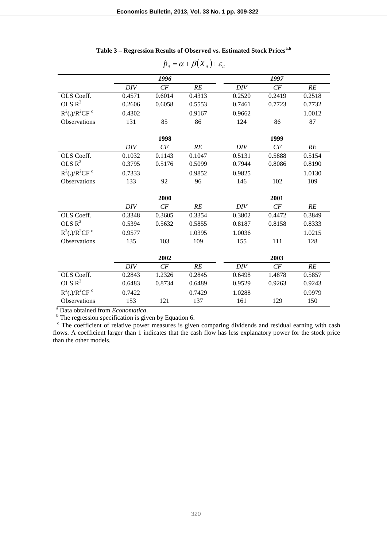|                                  |        | 1996   |        |        | 1997   |        |
|----------------------------------|--------|--------|--------|--------|--------|--------|
|                                  | DIV    | CF     | RE     | DIV    | CF     | RE     |
| OLS Coeff.                       | 0.4571 | 0.6014 | 0.4313 | 0.2520 | 0.2419 | 0.2518 |
| OLS $R^2$                        | 0.2606 | 0.6058 | 0.5553 | 0.7461 | 0.7723 | 0.7732 |
| $R^2(.)/R^2CF$ <sup>c</sup>      | 0.4302 |        | 0.9167 | 0.9662 |        | 1.0012 |
| <b>Observations</b>              | 131    | 85     | 86     | 124    | 86     | 87     |
|                                  |        |        |        |        |        |        |
|                                  |        | 1998   |        |        | 1999   |        |
|                                  | DIV    | CF     | RE     | DIV    | CF     | RE     |
| OLS Coeff.                       | 0.1032 | 0.1143 | 0.1047 | 0.5131 | 0.5888 | 0.5154 |
| OLS $R^2$                        | 0.3795 | 0.5176 | 0.5099 | 0.7944 | 0.8086 | 0.8190 |
| $R^2(.)/R^2CF$ <sup>c</sup>      | 0.7333 |        | 0.9852 | 0.9825 |        | 1.0130 |
| Observations                     | 133    | 92     | 96     | 146    | 102    | 109    |
|                                  |        |        |        |        |        |        |
|                                  | 2000   |        |        | 2001   |        |        |
|                                  | DIV    | CF     | RE     | DIV    | CF     | RE     |
| OLS Coeff.                       | 0.3348 | 0.3605 | 0.3354 | 0.3802 | 0.4472 | 0.3849 |
| OLS $R^2$                        | 0.5394 | 0.5632 | 0.5855 | 0.8187 | 0.8158 | 0.8333 |
| $R^2$ (.)/ $R^2$ CF <sup>c</sup> | 0.9577 |        | 1.0395 | 1.0036 |        | 1.0215 |
| <b>Observations</b>              | 135    | 103    | 109    | 155    | 111    | 128    |
|                                  |        |        |        |        |        |        |
|                                  |        | 2002   |        |        | 2003   |        |
|                                  | DIV    | CF     | RE     | DIV    | CF     | RE     |
| OLS Coeff.                       | 0.2843 | 1.2326 | 0.2845 | 0.6498 | 1.4878 | 0.5857 |
| OLS $R^2$                        | 0.6483 | 0.8734 | 0.6489 | 0.9529 | 0.9263 | 0.9243 |
| $R^2$ (.)/ $R^2$ CF <sup>c</sup> | 0.7422 |        | 0.7429 | 1.0288 |        | 0.9979 |
| Observations                     | 153    | 121    | 137    | 161    | 129    | 150    |

| Table 3 - Regression Results of Observed vs. Estimated Stock Prices <sup>a,b</sup> |  |
|------------------------------------------------------------------------------------|--|
|------------------------------------------------------------------------------------|--|

 $\hat{p}_{it} = \alpha + \beta (X_{it}) + \varepsilon_{it}$ 

<sup>a</sup> Data obtained from *Economatica*.

 $b$  The regression specification is given by Equation 6.

<sup>c</sup> The coefficient of relative power measures is given comparing dividends and residual earning with cash flows. A coefficient larger than 1 indicates that the cash flow has less explanatory power for the stock price than the other models.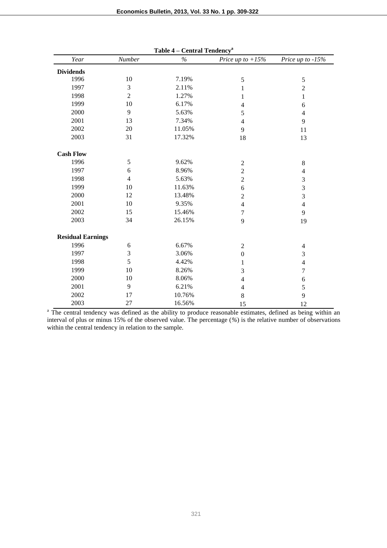| Year                     | Number         | таріс т<br>Central Tenuency<br>$\%$ | Price up to $+15%$ | Price up to $-15%$ |
|--------------------------|----------------|-------------------------------------|--------------------|--------------------|
| <b>Dividends</b>         |                |                                     |                    |                    |
| 1996                     | 10             | 7.19%                               | 5                  | $\mathfrak s$      |
| 1997                     | 3              | 2.11%                               | 1                  | $\overline{2}$     |
| 1998                     | $\overline{2}$ | 1.27%                               | 1                  | $\mathbf{1}$       |
| 1999                     | 10             | 6.17%                               | $\overline{4}$     | 6                  |
| 2000                     | 9              | 5.63%                               | 5                  | $\overline{4}$     |
| 2001                     | 13             | 7.34%                               | $\overline{4}$     | 9                  |
| 2002                     | $20\,$         | 11.05%                              | 9                  | 11                 |
| 2003                     | 31             | 17.32%                              | 18                 | 13                 |
| <b>Cash Flow</b>         |                |                                     |                    |                    |
| 1996                     | 5              | 9.62%                               | $\sqrt{2}$         | $\,8\,$            |
| 1997                     | 6              | 8.96%                               | $\overline{2}$     | $\overline{4}$     |
| 1998                     | $\overline{4}$ | 5.63%                               | $\overline{2}$     | $\mathfrak{Z}$     |
| 1999                     | 10             | 11.63%                              | $\sqrt{6}$         | 3                  |
| 2000                     | 12             | 13.48%                              | $\overline{2}$     | 3                  |
| 2001                     | 10             | 9.35%                               | $\overline{4}$     | $\overline{4}$     |
| 2002                     | 15             | 15.46%                              | $\boldsymbol{7}$   | 9                  |
| 2003                     | 34             | 26.15%                              | $\overline{9}$     | 19                 |
| <b>Residual Earnings</b> |                |                                     |                    |                    |
| 1996                     | 6              | 6.67%                               | $\sqrt{2}$         | $\overline{4}$     |
| 1997                     | 3              | 3.06%                               | $\mathbf{0}$       | 3                  |
| 1998                     | 5              | 4.42%                               | 1                  | $\overline{4}$     |
| 1999                     | 10             | 8.26%                               | 3                  | $\tau$             |
| 2000                     | 10             | 8.06%                               | $\overline{4}$     | 6                  |
| 2001                     | 9              | 6.21%                               | $\overline{4}$     | 5                  |
| 2002                     | 17             | 10.76%                              | $8\,$              | 9                  |
| 2003                     | 27             | 16.56%                              | 15                 | 12                 |

<sup>a</sup> The central tendency was defined as the ability to produce reasonable estimates, defined as being within an interval of plus or minus 15% of the observed value. The percentage (*%*) is the relative number of observations within the central tendency in relation to the sample.

**Table 4 – Central Tendency<sup>a</sup>**